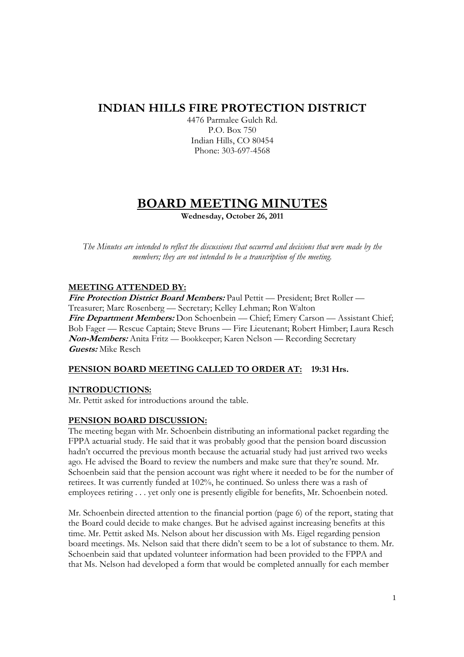# **INDIAN HILLS FIRE PROTECTION DISTRICT**

4476 Parmalee Gulch Rd. P.O. Box 750 Indian Hills, CO 80454 Phone: 303-697-4568

# **BOARD MEETING MINUTES**

**Wednesday, October 26, 2011** 

*The Minutes are intended to reflect the discussions that occurred and decisions that were made by the members; they are not intended to be a transcription of the meeting.* 

# **MEETING ATTENDED BY:**

**Fire Protection District Board Members:** Paul Pettit — President; Bret Roller — Treasurer; Marc Rosenberg — Secretary; Kelley Lehman; Ron Walton Fire Department Members: Don Schoenbein — Chief; Emery Carson — Assistant Chief; Bob Fager — Rescue Captain; Steve Bruns — Fire Lieutenant; Robert Himber; Laura Resch **Non-Members:** Anita Fritz — Bookkeeper; Karen Nelson — Recording Secretary **Guests:** Mike Resch

# **PENSION BOARD MEETING CALLED TO ORDER AT: 19:31 Hrs.**

# **INTRODUCTIONS:**

Mr. Pettit asked for introductions around the table.

# **PENSION BOARD DISCUSSION:**

The meeting began with Mr. Schoenbein distributing an informational packet regarding the FPPA actuarial study. He said that it was probably good that the pension board discussion hadn't occurred the previous month because the actuarial study had just arrived two weeks ago. He advised the Board to review the numbers and make sure that they're sound. Mr. Schoenbein said that the pension account was right where it needed to be for the number of retirees. It was currently funded at 102%, he continued. So unless there was a rash of employees retiring . . . yet only one is presently eligible for benefits, Mr. Schoenbein noted.

Mr. Schoenbein directed attention to the financial portion (page 6) of the report, stating that the Board could decide to make changes. But he advised against increasing benefits at this time. Mr. Pettit asked Ms. Nelson about her discussion with Ms. Eigel regarding pension board meetings. Ms. Nelson said that there didn't seem to be a lot of substance to them. Mr. Schoenbein said that updated volunteer information had been provided to the FPPA and that Ms. Nelson had developed a form that would be completed annually for each member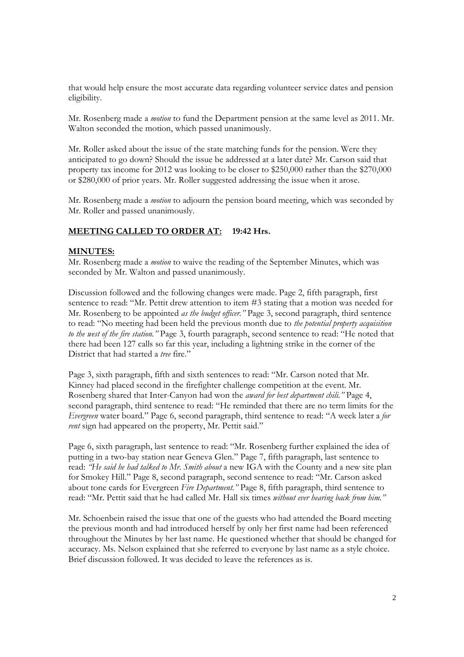that would help ensure the most accurate data regarding volunteer service dates and pension eligibility.

Mr. Rosenberg made a *motion* to fund the Department pension at the same level as 2011. Mr. Walton seconded the motion, which passed unanimously.

Mr. Roller asked about the issue of the state matching funds for the pension. Were they anticipated to go down? Should the issue be addressed at a later date? Mr. Carson said that property tax income for 2012 was looking to be closer to \$250,000 rather than the \$270,000 or \$280,000 of prior years. Mr. Roller suggested addressing the issue when it arose.

Mr. Rosenberg made a *motion* to adjourn the pension board meeting, which was seconded by Mr. Roller and passed unanimously.

# **MEETING CALLED TO ORDER AT: 19:42 Hrs.**

#### **MINUTES:**

Mr. Rosenberg made a *motion* to waive the reading of the September Minutes, which was seconded by Mr. Walton and passed unanimously.

Discussion followed and the following changes were made. Page 2, fifth paragraph, first sentence to read: "Mr. Pettit drew attention to item #3 stating that a motion was needed for Mr. Rosenberg to be appointed *as the budget officer."* Page 3, second paragraph, third sentence to read: "No meeting had been held the previous month due to *the potential property acquisition to the west of the fire station."* Page 3, fourth paragraph, second sentence to read: "He noted that there had been 127 calls so far this year, including a lightning strike in the corner of the District that had started a *tree* fire."

Page 3, sixth paragraph, fifth and sixth sentences to read: "Mr. Carson noted that Mr. Kinney had placed second in the firefighter challenge competition at the event. Mr. Rosenberg shared that Inter-Canyon had won the *award for best department chili."* Page 4, second paragraph, third sentence to read: "He reminded that there are no term limits for the *Evergreen* water board." Page 6, second paragraph, third sentence to read: "A week later a *for rent* sign had appeared on the property, Mr. Pettit said."

Page 6, sixth paragraph, last sentence to read: "Mr. Rosenberg further explained the idea of putting in a two-bay station near Geneva Glen." Page 7, fifth paragraph, last sentence to read: *"He said he had talked to Mr. Smith about* a new IGA with the County and a new site plan for Smokey Hill." Page 8, second paragraph, second sentence to read: "Mr. Carson asked about tone cards for Evergreen *Fire Department."* Page 8, fifth paragraph, third sentence to read: "Mr. Pettit said that he had called Mr. Hall six times *without ever hearing back from him."* 

Mr. Schoenbein raised the issue that one of the guests who had attended the Board meeting the previous month and had introduced herself by only her first name had been referenced throughout the Minutes by her last name. He questioned whether that should be changed for accuracy. Ms. Nelson explained that she referred to everyone by last name as a style choice. Brief discussion followed. It was decided to leave the references as is.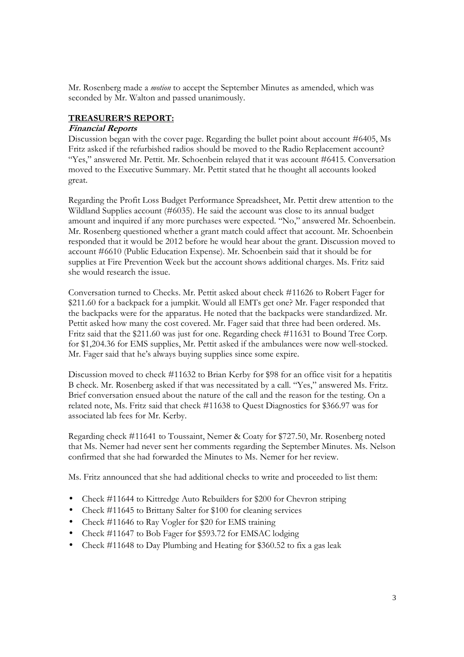Mr. Rosenberg made a *motion* to accept the September Minutes as amended, which was seconded by Mr. Walton and passed unanimously.

# **TREASURER'S REPORT:**

#### **Financial Reports**

Discussion began with the cover page. Regarding the bullet point about account #6405, Ms Fritz asked if the refurbished radios should be moved to the Radio Replacement account? "Yes," answered Mr. Pettit. Mr. Schoenbein relayed that it was account #6415. Conversation moved to the Executive Summary. Mr. Pettit stated that he thought all accounts looked great.

Regarding the Profit Loss Budget Performance Spreadsheet, Mr. Pettit drew attention to the Wildland Supplies account (#6035). He said the account was close to its annual budget amount and inquired if any more purchases were expected. "No," answered Mr. Schoenbein. Mr. Rosenberg questioned whether a grant match could affect that account. Mr. Schoenbein responded that it would be 2012 before he would hear about the grant. Discussion moved to account #6610 (Public Education Expense). Mr. Schoenbein said that it should be for supplies at Fire Prevention Week but the account shows additional charges. Ms. Fritz said she would research the issue.

Conversation turned to Checks. Mr. Pettit asked about check #11626 to Robert Fager for \$211.60 for a backpack for a jumpkit. Would all EMTs get one? Mr. Fager responded that the backpacks were for the apparatus. He noted that the backpacks were standardized. Mr. Pettit asked how many the cost covered. Mr. Fager said that three had been ordered. Ms. Fritz said that the \$211.60 was just for one. Regarding check #11631 to Bound Tree Corp. for \$1,204.36 for EMS supplies, Mr. Pettit asked if the ambulances were now well-stocked. Mr. Fager said that he's always buying supplies since some expire.

Discussion moved to check #11632 to Brian Kerby for \$98 for an office visit for a hepatitis B check. Mr. Rosenberg asked if that was necessitated by a call. "Yes," answered Ms. Fritz. Brief conversation ensued about the nature of the call and the reason for the testing. On a related note, Ms. Fritz said that check #11638 to Quest Diagnostics for \$366.97 was for associated lab fees for Mr. Kerby.

Regarding check #11641 to Toussaint, Nemer & Coaty for \$727.50, Mr. Rosenberg noted that Ms. Nemer had never sent her comments regarding the September Minutes. Ms. Nelson confirmed that she had forwarded the Minutes to Ms. Nemer for her review.

Ms. Fritz announced that she had additional checks to write and proceeded to list them:

- Check #11644 to Kittredge Auto Rebuilders for \$200 for Chevron striping
- Check #11645 to Brittany Salter for \$100 for cleaning services
- Check #11646 to Ray Vogler for \$20 for EMS training
- Check #11647 to Bob Fager for \$593.72 for EMSAC lodging
- Check #11648 to Day Plumbing and Heating for \$360.52 to fix a gas leak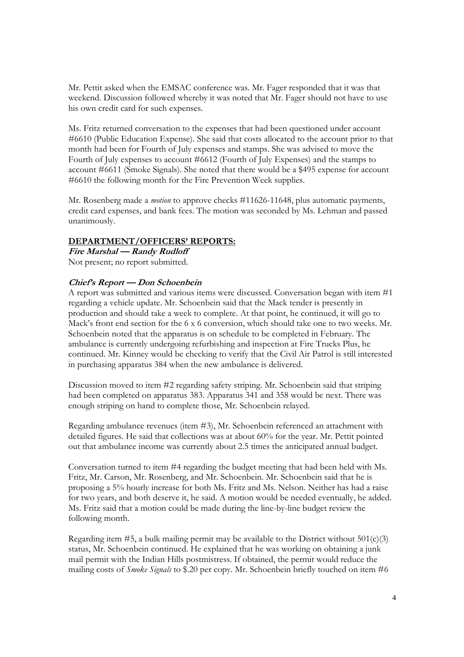Mr. Pettit asked when the EMSAC conference was. Mr. Fager responded that it was that weekend. Discussion followed whereby it was noted that Mr. Fager should not have to use his own credit card for such expenses.

Ms. Fritz returned conversation to the expenses that had been questioned under account #6610 (Public Education Expense). She said that costs allocated to the account prior to that month had been for Fourth of July expenses and stamps. She was advised to move the Fourth of July expenses to account #6612 (Fourth of July Expenses) and the stamps to account #6611 (Smoke Signals). She noted that there would be a \$495 expense for account #6610 the following month for the Fire Prevention Week supplies.

Mr. Rosenberg made a *motion* to approve checks #11626-11648, plus automatic payments, credit card expenses, and bank fees. The motion was seconded by Ms. Lehman and passed unanimously.

# **DEPARTMENT/OFFICERS' REPORTS:**

**Fire Marshal — Randy Rudloff**  Not present; no report submitted.

#### **Chief's Report — Don Schoenbein**

A report was submitted and various items were discussed. Conversation began with item #1 regarding a vehicle update. Mr. Schoenbein said that the Mack tender is presently in production and should take a week to complete. At that point, he continued, it will go to Mack's front end section for the 6 x 6 conversion, which should take one to two weeks. Mr. Schoenbein noted that the apparatus is on schedule to be completed in February. The ambulance is currently undergoing refurbishing and inspection at Fire Trucks Plus, he continued. Mr. Kinney would be checking to verify that the Civil Air Patrol is still interested in purchasing apparatus 384 when the new ambulance is delivered.

Discussion moved to item #2 regarding safety striping. Mr. Schoenbein said that striping had been completed on apparatus 383. Apparatus 341 and 358 would be next. There was enough striping on hand to complete those, Mr. Schoenbein relayed.

Regarding ambulance revenues (item #3), Mr. Schoenbein referenced an attachment with detailed figures. He said that collections was at about 60% for the year. Mr. Pettit pointed out that ambulance income was currently about 2.5 times the anticipated annual budget.

Conversation turned to item #4 regarding the budget meeting that had been held with Ms. Fritz, Mr. Carson, Mr. Rosenberg, and Mr. Schoenbein. Mr. Schoenbein said that he is proposing a 5% hourly increase for both Ms. Fritz and Ms. Nelson. Neither has had a raise for two years, and both deserve it, he said. A motion would be needed eventually, he added. Ms. Fritz said that a motion could be made during the line-by-line budget review the following month.

Regarding item  $#5$ , a bulk mailing permit may be available to the District without  $501(c)(3)$ status, Mr. Schoenbein continued. He explained that he was working on obtaining a junk mail permit with the Indian Hills postmistress. If obtained, the permit would reduce the mailing costs of *Smoke Signals* to \$.20 per copy. Mr. Schoenbein briefly touched on item #6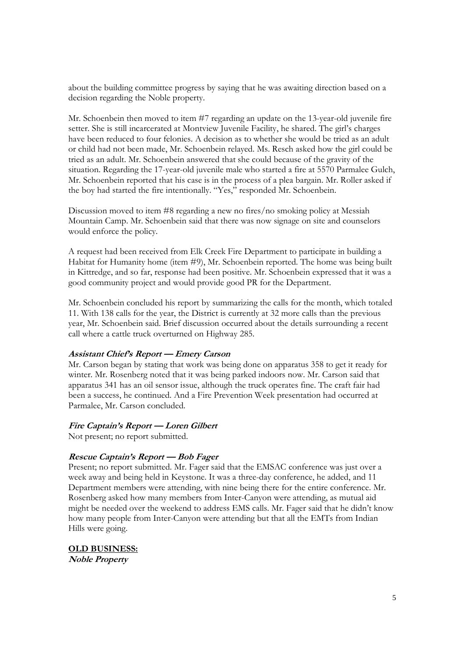about the building committee progress by saying that he was awaiting direction based on a decision regarding the Noble property.

Mr. Schoenbein then moved to item #7 regarding an update on the 13-year-old juvenile fire setter. She is still incarcerated at Montview Juvenile Facility, he shared. The girl's charges have been reduced to four felonies. A decision as to whether she would be tried as an adult or child had not been made, Mr. Schoenbein relayed. Ms. Resch asked how the girl could be tried as an adult. Mr. Schoenbein answered that she could because of the gravity of the situation. Regarding the 17-year-old juvenile male who started a fire at 5570 Parmalee Gulch, Mr. Schoenbein reported that his case is in the process of a plea bargain. Mr. Roller asked if the boy had started the fire intentionally. "Yes," responded Mr. Schoenbein.

Discussion moved to item #8 regarding a new no fires/no smoking policy at Messiah Mountain Camp. Mr. Schoenbein said that there was now signage on site and counselors would enforce the policy.

A request had been received from Elk Creek Fire Department to participate in building a Habitat for Humanity home (item #9), Mr. Schoenbein reported. The home was being built in Kittredge, and so far, response had been positive. Mr. Schoenbein expressed that it was a good community project and would provide good PR for the Department.

Mr. Schoenbein concluded his report by summarizing the calls for the month, which totaled 11. With 138 calls for the year, the District is currently at 32 more calls than the previous year, Mr. Schoenbein said. Brief discussion occurred about the details surrounding a recent call where a cattle truck overturned on Highway 285.

#### **Assistant Chief's Report — Emery Carson**

Mr. Carson began by stating that work was being done on apparatus 358 to get it ready for winter. Mr. Rosenberg noted that it was being parked indoors now. Mr. Carson said that apparatus 341 has an oil sensor issue, although the truck operates fine. The craft fair had been a success, he continued. And a Fire Prevention Week presentation had occurred at Parmalee, Mr. Carson concluded.

#### **Fire Captain's Report — Loren Gilbert**

Not present; no report submitted.

# **Rescue Captain's Report — Bob Fager**

Present; no report submitted. Mr. Fager said that the EMSAC conference was just over a week away and being held in Keystone. It was a three-day conference, he added, and 11 Department members were attending, with nine being there for the entire conference. Mr. Rosenberg asked how many members from Inter-Canyon were attending, as mutual aid might be needed over the weekend to address EMS calls. Mr. Fager said that he didn't know how many people from Inter-Canyon were attending but that all the EMTs from Indian Hills were going.

**OLD BUSINESS: Noble Property**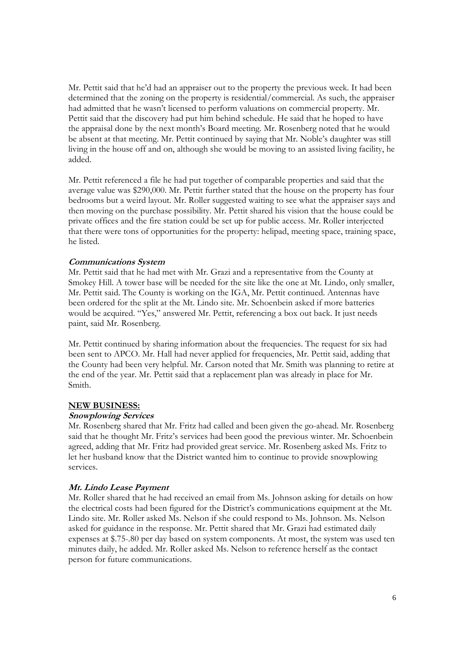Mr. Pettit said that he'd had an appraiser out to the property the previous week. It had been determined that the zoning on the property is residential/commercial. As such, the appraiser had admitted that he wasn't licensed to perform valuations on commercial property. Mr. Pettit said that the discovery had put him behind schedule. He said that he hoped to have the appraisal done by the next month's Board meeting. Mr. Rosenberg noted that he would be absent at that meeting. Mr. Pettit continued by saying that Mr. Noble's daughter was still living in the house off and on, although she would be moving to an assisted living facility, he added.

Mr. Pettit referenced a file he had put together of comparable properties and said that the average value was \$290,000. Mr. Pettit further stated that the house on the property has four bedrooms but a weird layout. Mr. Roller suggested waiting to see what the appraiser says and then moving on the purchase possibility. Mr. Pettit shared his vision that the house could be private offices and the fire station could be set up for public access. Mr. Roller interjected that there were tons of opportunities for the property: helipad, meeting space, training space, he listed.

#### **Communications System**

Mr. Pettit said that he had met with Mr. Grazi and a representative from the County at Smokey Hill. A tower base will be needed for the site like the one at Mt. Lindo, only smaller, Mr. Pettit said. The County is working on the IGA, Mr. Pettit continued. Antennas have been ordered for the split at the Mt. Lindo site. Mr. Schoenbein asked if more batteries would be acquired. "Yes," answered Mr. Pettit, referencing a box out back. It just needs paint, said Mr. Rosenberg.

Mr. Pettit continued by sharing information about the frequencies. The request for six had been sent to APCO. Mr. Hall had never applied for frequencies, Mr. Pettit said, adding that the County had been very helpful. Mr. Carson noted that Mr. Smith was planning to retire at the end of the year. Mr. Pettit said that a replacement plan was already in place for Mr. Smith.

#### **NEW BUSINESS:**

#### **Snowplowing Services**

Mr. Rosenberg shared that Mr. Fritz had called and been given the go-ahead. Mr. Rosenberg said that he thought Mr. Fritz's services had been good the previous winter. Mr. Schoenbein agreed, adding that Mr. Fritz had provided great service. Mr. Rosenberg asked Ms. Fritz to let her husband know that the District wanted him to continue to provide snowplowing services.

# **Mt. Lindo Lease Payment**

Mr. Roller shared that he had received an email from Ms. Johnson asking for details on how the electrical costs had been figured for the District's communications equipment at the Mt. Lindo site. Mr. Roller asked Ms. Nelson if she could respond to Ms. Johnson. Ms. Nelson asked for guidance in the response. Mr. Pettit shared that Mr. Grazi had estimated daily expenses at \$.75-.80 per day based on system components. At most, the system was used ten minutes daily, he added. Mr. Roller asked Ms. Nelson to reference herself as the contact person for future communications.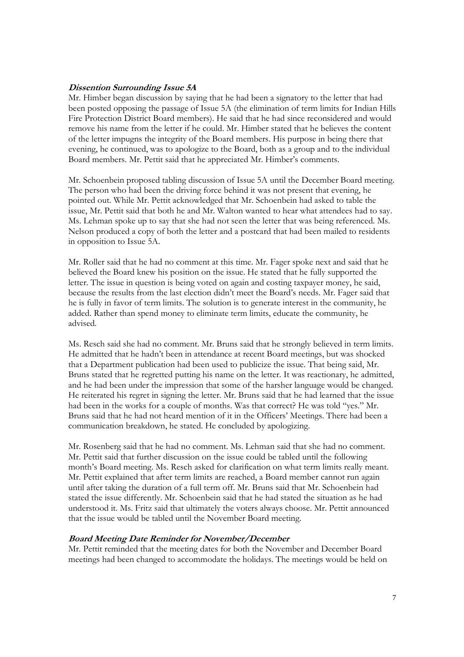#### **Dissention Surrounding Issue 5A**

Mr. Himber began discussion by saying that he had been a signatory to the letter that had been posted opposing the passage of Issue 5A (the elimination of term limits for Indian Hills Fire Protection District Board members). He said that he had since reconsidered and would remove his name from the letter if he could. Mr. Himber stated that he believes the content of the letter impugns the integrity of the Board members. His purpose in being there that evening, he continued, was to apologize to the Board, both as a group and to the individual Board members. Mr. Pettit said that he appreciated Mr. Himber's comments.

Mr. Schoenbein proposed tabling discussion of Issue 5A until the December Board meeting. The person who had been the driving force behind it was not present that evening, he pointed out. While Mr. Pettit acknowledged that Mr. Schoenbein had asked to table the issue, Mr. Pettit said that both he and Mr. Walton wanted to hear what attendees had to say. Ms. Lehman spoke up to say that she had not seen the letter that was being referenced. Ms. Nelson produced a copy of both the letter and a postcard that had been mailed to residents in opposition to Issue 5A.

Mr. Roller said that he had no comment at this time. Mr. Fager spoke next and said that he believed the Board knew his position on the issue. He stated that he fully supported the letter. The issue in question is being voted on again and costing taxpayer money, he said, because the results from the last election didn't meet the Board's needs. Mr. Fager said that he is fully in favor of term limits. The solution is to generate interest in the community, he added. Rather than spend money to eliminate term limits, educate the community, he advised.

Ms. Resch said she had no comment. Mr. Bruns said that he strongly believed in term limits. He admitted that he hadn't been in attendance at recent Board meetings, but was shocked that a Department publication had been used to publicize the issue. That being said, Mr. Bruns stated that he regretted putting his name on the letter. It was reactionary, he admitted, and he had been under the impression that some of the harsher language would be changed. He reiterated his regret in signing the letter. Mr. Bruns said that he had learned that the issue had been in the works for a couple of months. Was that correct? He was told "yes." Mr. Bruns said that he had not heard mention of it in the Officers' Meetings. There had been a communication breakdown, he stated. He concluded by apologizing.

Mr. Rosenberg said that he had no comment. Ms. Lehman said that she had no comment. Mr. Pettit said that further discussion on the issue could be tabled until the following month's Board meeting. Ms. Resch asked for clarification on what term limits really meant. Mr. Pettit explained that after term limits are reached, a Board member cannot run again until after taking the duration of a full term off. Mr. Bruns said that Mr. Schoenbein had stated the issue differently. Mr. Schoenbein said that he had stated the situation as he had understood it. Ms. Fritz said that ultimately the voters always choose. Mr. Pettit announced that the issue would be tabled until the November Board meeting.

#### **Board Meeting Date Reminder for November/December**

Mr. Pettit reminded that the meeting dates for both the November and December Board meetings had been changed to accommodate the holidays. The meetings would be held on